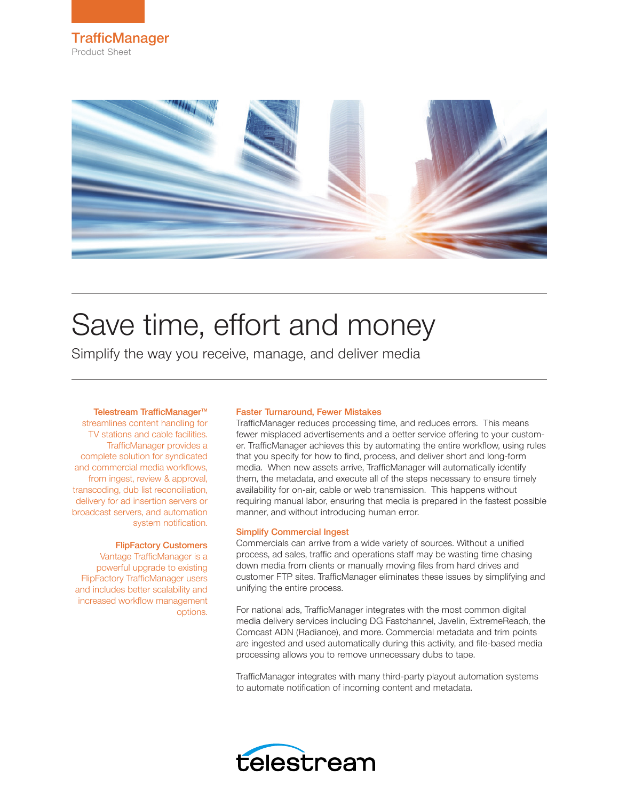



# Save time, effort and money

Simplify the way you receive, manage, and deliver media

#### Telestream TrafficManager™

streamlines content handling for TV stations and cable facilities. TrafficManager provides a complete solution for syndicated and commercial media workflows, from ingest, review & approval, transcoding, dub list reconciliation, delivery for ad insertion servers or broadcast servers, and automation system notification.

#### FlipFactory Customers

Vantage TrafficManager is a powerful upgrade to existing FlipFactory TrafficManager users and includes better scalability and increased workflow management options.

#### Faster Turnaround, Fewer Mistakes

TrafficManager reduces processing time, and reduces errors. This means fewer misplaced advertisements and a better service offering to your customer. TrafficManager achieves this by automating the entire workflow, using rules that you specify for how to find, process, and deliver short and long-form media. When new assets arrive, TrafficManager will automatically identify them, the metadata, and execute all of the steps necessary to ensure timely availability for on-air, cable or web transmission. This happens without requiring manual labor, ensuring that media is prepared in the fastest possible manner, and without introducing human error.

#### Simplify Commercial Ingest

Commercials can arrive from a wide variety of sources. Without a unified process, ad sales, traffic and operations staff may be wasting time chasing down media from clients or manually moving files from hard drives and customer FTP sites. TrafficManager eliminates these issues by simplifying and unifying the entire process.

For national ads, TrafficManager integrates with the most common digital media delivery services including DG Fastchannel, Javelin, ExtremeReach, the Comcast ADN (Radiance), and more. Commercial metadata and trim points are ingested and used automatically during this activity, and file-based media processing allows you to remove unnecessary dubs to tape.

TrafficManager integrates with many third-party playout automation systems to automate notification of incoming content and metadata.

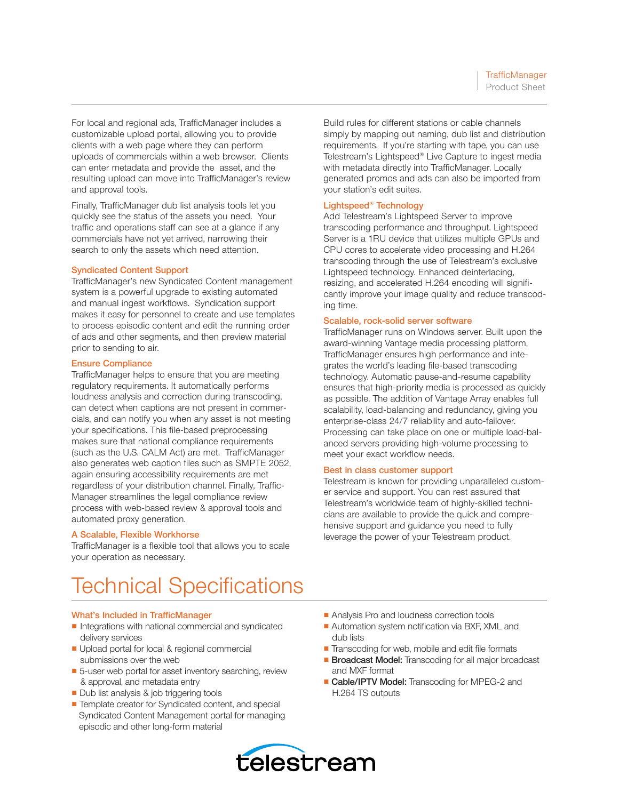For local and regional ads, TrafficManager includes a customizable upload portal, allowing you to provide clients with a web page where they can perform uploads of commercials within a web browser. Clients can enter metadata and provide the asset, and the resulting upload can move into TrafficManager's review and approval tools.

Finally, TrafficManager dub list analysis tools let you quickly see the status of the assets you need. Your traffic and operations staff can see at a glance if any commercials have not yet arrived, narrowing their search to only the assets which need attention.

#### Syndicated Content Support

TrafficManager's new Syndicated Content management system is a powerful upgrade to existing automated and manual ingest workflows. Syndication support makes it easy for personnel to create and use templates to process episodic content and edit the running order of ads and other segments, and then preview material prior to sending to air.

#### Ensure Compliance

TrafficManager helps to ensure that you are meeting regulatory requirements. It automatically performs loudness analysis and correction during transcoding, can detect when captions are not present in commercials, and can notify you when any asset is not meeting your specifications. This file-based preprocessing makes sure that national compliance requirements (such as the U.S. CALM Act) are met. TrafficManager also generates web caption files such as SMPTE 2052, again ensuring accessibility requirements are met regardless of your distribution channel. Finally, Traffic-Manager streamlines the legal compliance review process with web-based review & approval tools and automated proxy generation.

### A Scalable, Flexible Workhorse

TrafficManager is a flexible tool that allows you to scale your operation as necessary.

Build rules for different stations or cable channels simply by mapping out naming, dub list and distribution requirements. If you're starting with tape, you can use Telestream's Lightspeed® Live Capture to ingest media with metadata directly into TrafficManager. Locally generated promos and ads can also be imported from your station's edit suites.

### Lightspeed® Technology

Add Telestream's Lightspeed Server to improve transcoding performance and throughput. Lightspeed Server is a 1RU device that utilizes multiple GPUs and CPU cores to accelerate video processing and H.264 transcoding through the use of Telestream's exclusive Lightspeed technology. Enhanced deinterlacing, resizing, and accelerated H.264 encoding will significantly improve your image quality and reduce transcoding time.

#### Scalable, rock-solid server software

TrafficManager runs on Windows server. Built upon the award-winning Vantage media processing platform, TrafficManager ensures high performance and integrates the world's leading file-based transcoding technology. Automatic pause-and-resume capability ensures that high-priority media is processed as quickly as possible. The addition of Vantage Array enables full scalability, load-balancing and redundancy, giving you enterprise-class 24/7 reliability and auto-failover. Processing can take place on one or multiple load-balanced servers providing high-volume processing to meet your exact workflow needs.

### Best in class customer support

Telestream is known for providing unparalleled customer service and support. You can rest assured that Telestream's worldwide team of highly-skilled technicians are available to provide the quick and comprehensive support and guidance you need to fully leverage the power of your Telestream product.

### Technical Specifications

#### What's Included in TrafficManager

- Integrations with national commercial and syndicated delivery services
- Upload portal for local & regional commercial submissions over the web
- 5-user web portal for asset inventory searching, review & approval, and metadata entry
- Dub list analysis & job triggering tools
- Template creator for Syndicated content, and special Syndicated Content Management portal for managing episodic and other long-form material
- Analysis Pro and loudness correction tools
- Automation system notification via BXF, XML and dub lists
- Transcoding for web, mobile and edit file formats
- Broadcast Model: Transcoding for all major broadcast and MXF format
- Cable/IPTV Model: Transcoding for MPEG-2 and H.264 TS outputs